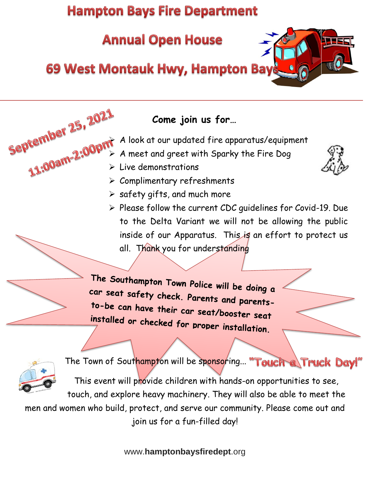# **Hampton Bays Fire Department**

# **Annual Open House**

## **69 West Montauk Hwy, Hampton Bay**



## **Come join us for…**

- $\geqslant$  A look at our updated fire apparatus/equipment
- $\triangleright$  A meet and greet with Sparky the Fire Dog
- ➢ Live demonstrations

- ➢ Complimentary refreshments
- $\triangleright$  safety gifts, and much more
- ➢ Please follow the current CDC guidelines for Covid-19. Due to the Delta Variant we will not be allowing the public inside of our Apparatus. This is an effort to protect us all. Thank you for understanding

The Southampton Town Police will be doing a car seat safety check. Parents and parents-<br>to-be can hove the interest. to-be can have their car seat/booster seat installed or checked for proper installation.



The Town of Southampton will be sponsoring... "Touch a Truck Day!

This event will provide children with hands-on opportunities to see,

touch, and explore heavy machinery. They will also be able to meet the men and women who build, protect, and serve our community. Please come out and join us for a fun-filled day!